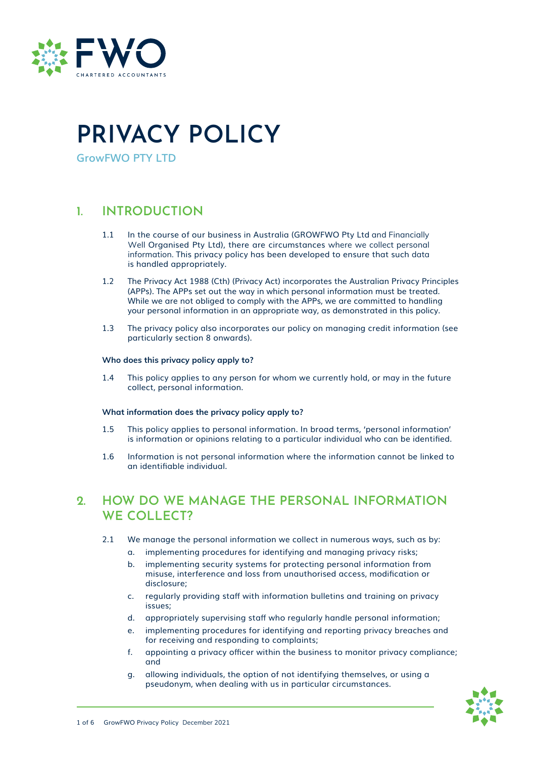

# **PRIVACY POLICY**

**GrowFWO PTY LTD**

### **1. INTRODUCTION**

- 1.1 In the course of our business in Australia (GROWFWO Pty Ltd and Financially Well Organised Pty Ltd), there are circumstances where we collect personal information. This privacy policy has been developed to ensure that such data is handled appropriately.
- 1.2 The Privacy Act 1988 (Cth) (Privacy Act) incorporates the Australian Privacy Principles (APPs). The APPs set out the way in which personal information must be treated. While we are not obliged to comply with the APPs, we are committed to handling your personal information in an appropriate way, as demonstrated in this policy.
- 1.3 The privacy policy also incorporates our policy on managing credit information (see particularly section 8 onwards).

### **Who does this privacy policy apply to?**

1.4 This policy applies to any person for whom we currently hold, or may in the future collect, personal information.

### **What information does the privacy policy apply to?**

- 1.5 This policy applies to personal information. In broad terms, 'personal information' is information or opinions relating to a particular individual who can be identified.
- 1.6 Information is not personal information where the information cannot be linked to an identifiable individual.

### **2. HOW DO WE MANAGE THE PERSONAL INFORMATION WE COLLECT?**

- 2.1 We manage the personal information we collect in numerous ways, such as by:
	- a. implementing procedures for identifying and managing privacy risks;
	- b. implementing security systems for protecting personal information from misuse, interference and loss from unauthorised access, modification or disclosure;
	- c. regularly providing staff with information bulletins and training on privacy issues;
	- d. appropriately supervising staff who regularly handle personal information;
	- e. implementing procedures for identifying and reporting privacy breaches and for receiving and responding to complaints;
	- f. appointing a privacy officer within the business to monitor privacy compliance; and
	- g. allowing individuals, the option of not identifying themselves, or using a pseudonym, when dealing with us in particular circumstances.

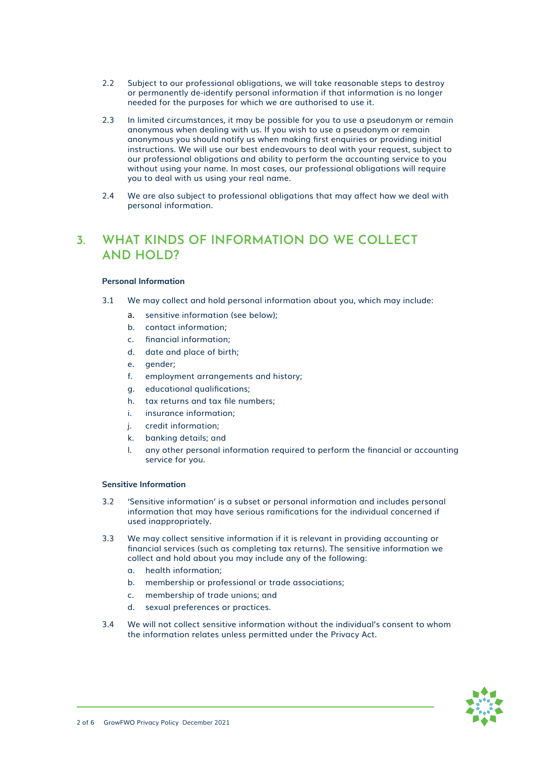- 2.2 Subject to our professional obligations, we will take reasonable steps to destroy or permanently de-identify personal information if that information is no longer needed for the purposes for which we are authorised to use it.
- 2.3 In limited circumstances, it may be possible for you to use a pseudonym or remain anonymous when dealing with us. If you wish to use a pseudonym or remain anonymous you should notify us when making first enquiries or providing initial instructions. We will use our best endeavours to deal with your request, subject to our professional obligations and ability to perform the accounting service to you without using your name. In most cases, our professional obligations will require you to deal with us using your real name.
- 2.4 We are also subject to professional obligations that may affect how we deal with personal information.

### **3. WHAT KINDS OF INFORMATION DO WE COLLECT AND HOLD?**

### **Personal Information**

- 3.1 We may collect and hold personal information about you, which may include:
	- a. sensitive information (see below);
	- b. contact information;
	- c. financial information;
	- d. date and place of birth;
	- e. gender;
	- f. employment arrangements and history;
	- g. educational qualifications;
	- h. tax returns and tax file numbers;
	- i. insurance information;
	- j. credit information;
	- k. banking details; and
	- l. any other personal information required to perform the financial or accounting service for you.

#### **Sensitive Information**

- 3.2 'Sensitive information' is a subset or personal information and includes personal information that may have serious ramifications for the individual concerned if used inappropriately.
- 3.3 We may collect sensitive information if it is relevant in providing accounting or financial services (such as completing tax returns). The sensitive information we collect and hold about you may include any of the following:
	- a. health information;
	- b. membership or professional or trade associations;
	- c. membership of trade unions; and
	- d. sexual preferences or practices.
- 3.4 We will not collect sensitive information without the individual's consent to whom the information relates unless permitted under the Privacy Act.

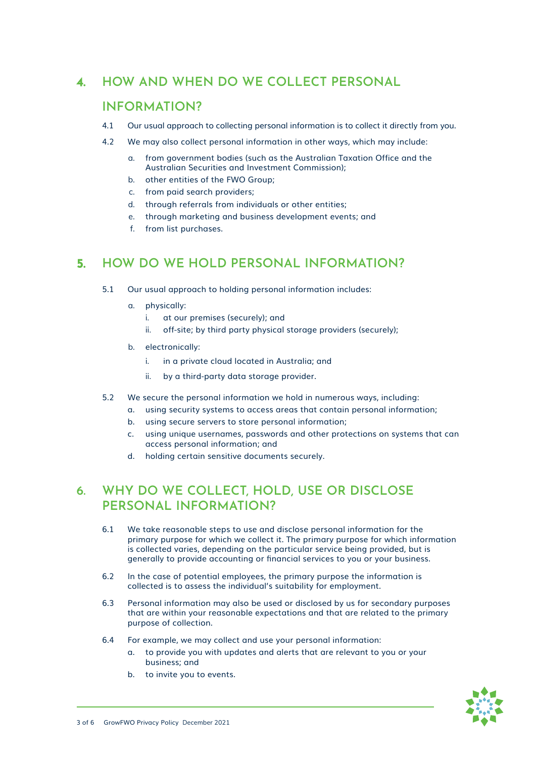## **4. HOW AND WHEN DO WE COLLECT PERSONAL**

### **INFORMATION?**

- 4.1 Our usual approach to collecting personal information is to collect it directly from you.
- 4.2 We may also collect personal information in other ways, which may include:
	- a. from government bodies (such as the Australian Taxation Office and the Australian Securities and Investment Commission);
	- b. other entities of the FWO Group;
	- c. from paid search providers;
	- d. through referrals from individuals or other entities;
	- e. through marketing and business development events; and
	- f. from list purchases.

### **5. HOW DO WE HOLD PERSONAL INFORMATION?**

- 5.1 Our usual approach to holding personal information includes:
	- a. physically:
		- i. at our premises (securely); and
		- ii. off-site; by third party physical storage providers (securely);
	- b. electronically:
		- i. in a private cloud located in Australia; and
		- ii. by a third-party data storage provider.
- 5.2 We secure the personal information we hold in numerous ways, including:
	- a. using security systems to access areas that contain personal information;
	- b. using secure servers to store personal information;
	- c. using unique usernames, passwords and other protections on systems that can access personal information; and
	- d. holding certain sensitive documents securely.

### **6. WHY DO WE COLLECT, HOLD, USE OR DISCLOSE PERSONAL INFORMATION?**

- 6.1 We take reasonable steps to use and disclose personal information for the primary purpose for which we collect it. The primary purpose for which information is collected varies, depending on the particular service being provided, but is generally to provide accounting or financial services to you or your business.
- 6.2 In the case of potential employees, the primary purpose the information is collected is to assess the individual's suitability for employment.
- 6.3 Personal information may also be used or disclosed by us for secondary purposes that are within your reasonable expectations and that are related to the primary purpose of collection.
- 6.4 For example, we may collect and use your personal information:
	- a. to provide you with updates and alerts that are relevant to you or your business; and
	- b. to invite you to events.

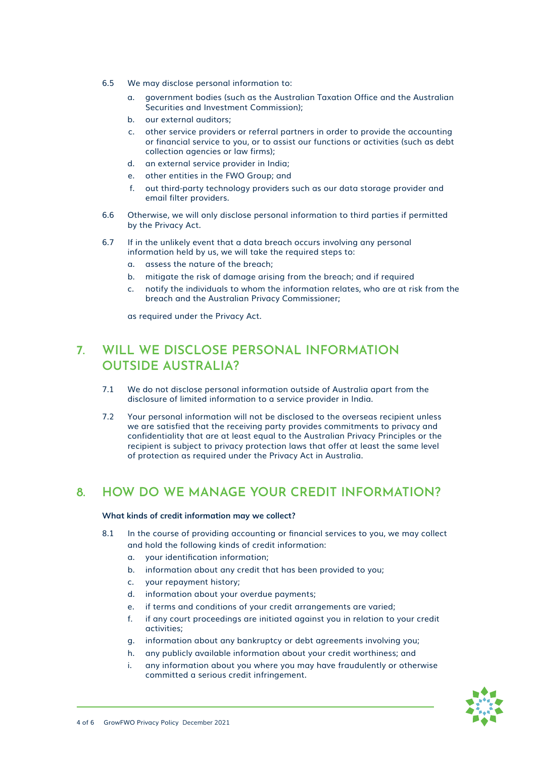- 6.5 We may disclose personal information to:
	- a. government bodies (such as the Australian Taxation Office and the Australian Securities and Investment Commission);
	- b. our external auditors;
	- c. other service providers or referral partners in order to provide the accounting or financial service to you, or to assist our functions or activities (such as debt collection agencies or law firms);
	- d. an external service provider in India;
	- e. other entities in the FWO Group; and
	- f. out third-party technology providers such as our data storage provider and email filter providers.
- 6.6 Otherwise, we will only disclose personal information to third parties if permitted by the Privacy Act.
- 6.7 If in the unlikely event that a data breach occurs involving any personal information held by us, we will take the required steps to:
	- a. assess the nature of the breach;
	- b. mitigate the risk of damage arising from the breach; and if required
	- c. notify the individuals to whom the information relates, who are at risk from the breach and the Australian Privacy Commissioner;

as required under the Privacy Act.

### **7. WILL WE DISCLOSE PERSONAL INFORMATION OUTSIDE AUSTRALIA?**

- 7.1 We do not disclose personal information outside of Australia apart from the disclosure of limited information to a service provider in India.
- 7.2 Your personal information will not be disclosed to the overseas recipient unless we are satisfied that the receiving party provides commitments to privacy and confidentiality that are at least equal to the Australian Privacy Principles or the recipient is subject to privacy protection laws that offer at least the same level of protection as required under the Privacy Act in Australia.

### **8. HOW DO WE MANAGE YOUR CREDIT INFORMATION?**

#### **What kinds of credit information may we collect?**

- 8.1 In the course of providing accounting or financial services to you, we may collect and hold the following kinds of credit information:
	- a. your identification information;
	- b. information about any credit that has been provided to you;
	- c. your repayment history;
	- d. information about your overdue payments;
	- e. if terms and conditions of your credit arrangements are varied;
	- f. if any court proceedings are initiated against you in relation to your credit activities;
	- g. information about any bankruptcy or debt agreements involving you;
	- h. any publicly available information about your credit worthiness; and
	- i. any information about you where you may have fraudulently or otherwise committed a serious credit infringement.

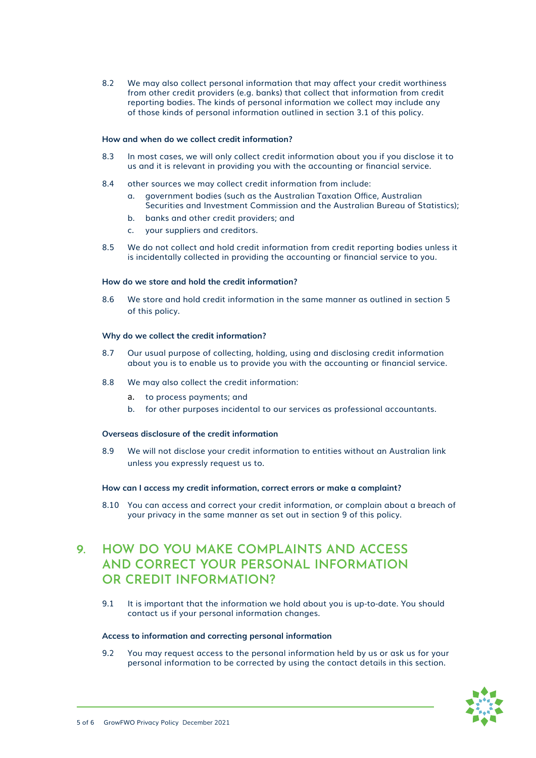8.2 We may also collect personal information that may affect your credit worthiness from other credit providers (e.g. banks) that collect that information from credit reporting bodies. The kinds of personal information we collect may include any of those kinds of personal information outlined in section 3.1 of this policy.

#### **How and when do we collect credit information?**

- 8.3 In most cases, we will only collect credit information about you if you disclose it to us and it is relevant in providing you with the accounting or financial service.
- 8.4 other sources we may collect credit information from include:
	- a. government bodies (such as the Australian Taxation Office, Australian Securities and Investment Commission and the Australian Bureau of Statistics);
	- b. banks and other credit providers; and
	- c. your suppliers and creditors.
- 8.5 We do not collect and hold credit information from credit reporting bodies unless it is incidentally collected in providing the accounting or financial service to you.

#### **How do we store and hold the credit information?**

8.6 We store and hold credit information in the same manner as outlined in section 5 of this policy.

#### **Why do we collect the credit information?**

- 8.7 Our usual purpose of collecting, holding, using and disclosing credit information about you is to enable us to provide you with the accounting or financial service.
- 8.8 We may also collect the credit information:
	- a. to process payments; and
	- b. for other purposes incidental to our services as professional accountants.

### **Overseas disclosure of the credit information**

8.9 We will not disclose your credit information to entities without an Australian link unless you expressly request us to.

#### **How can I access my credit information, correct errors or make a complaint?**

8.10 You can access and correct your credit information, or complain about a breach of your privacy in the same manner as set out in section 9 of this policy.

### **9. HOW DO YOU MAKE COMPLAINTS AND ACCESS AND CORRECT YOUR PERSONAL INFORMATION OR CREDIT INFORMATION?**

9.1 It is important that the information we hold about you is up-to-date. You should contact us if your personal information changes.

#### **Access to information and correcting personal information**

9.2 You may request access to the personal information held by us or ask us for your personal information to be corrected by using the contact details in this section.